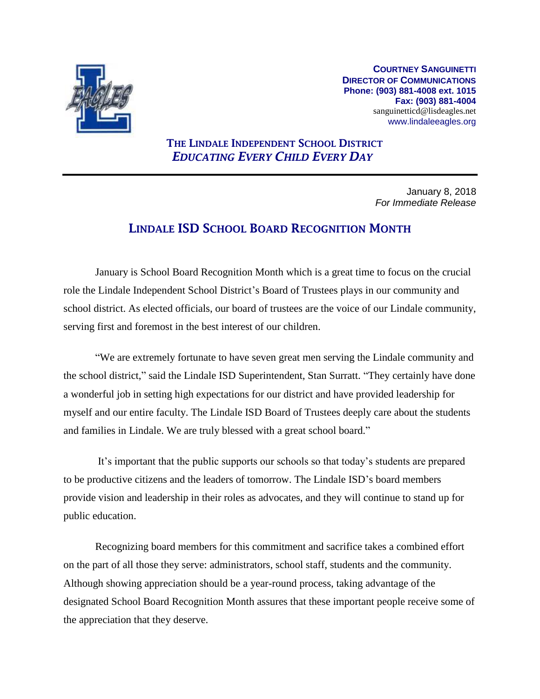

**COURTNEY SANGUINETTI DIRECTOR OF COMMUNICATIONS Phone: (903) 881-4008 ext. 1015 Fax: (903) 881-4004** sanguinetticd@lisdeagles.net www.lindaleeagles.org

# THE LINDALE INDEPENDENT SCHOOL DISTRICT *EDUCATING EVERY CHILD EVERY DAY*

January 8, 2018 *For Immediate Release*

# LINDALE ISD SCHOOL BOARD RECOGNITION MONTH

January is School Board Recognition Month which is a great time to focus on the crucial role the Lindale Independent School District's Board of Trustees plays in our community and school district. As elected officials, our board of trustees are the voice of our Lindale community, serving first and foremost in the best interest of our children.

"We are extremely fortunate to have seven great men serving the Lindale community and the school district," said the Lindale ISD Superintendent, Stan Surratt. "They certainly have done a wonderful job in setting high expectations for our district and have provided leadership for myself and our entire faculty. The Lindale ISD Board of Trustees deeply care about the students and families in Lindale. We are truly blessed with a great school board."

It's important that the public supports our schools so that today's students are prepared to be productive citizens and the leaders of tomorrow. The Lindale ISD's board members provide vision and leadership in their roles as advocates, and they will continue to stand up for public education.

Recognizing board members for this commitment and sacrifice takes a combined effort on the part of all those they serve: administrators, school staff, students and the community. Although showing appreciation should be a year-round process, taking advantage of the designated School Board Recognition Month assures that these important people receive some of the appreciation that they deserve.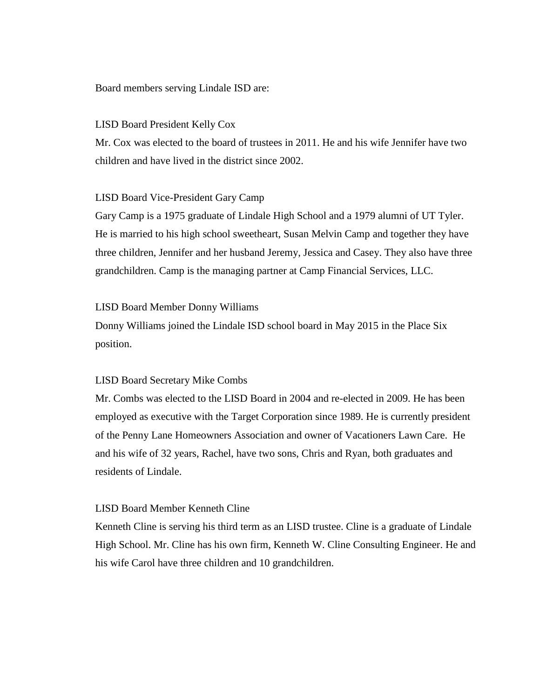#### Board members serving Lindale ISD are:

#### LISD Board President Kelly Cox

Mr. Cox was elected to the board of trustees in 2011. He and his wife Jennifer have two children and have lived in the district since 2002.

#### LISD Board Vice-President Gary Camp

Gary Camp is a 1975 graduate of Lindale High School and a 1979 alumni of UT Tyler. He is married to his high school sweetheart, Susan Melvin Camp and together they have three children, Jennifer and her husband Jeremy, Jessica and Casey. They also have three grandchildren. Camp is the managing partner at Camp Financial Services, LLC.

#### LISD Board Member Donny Williams

Donny Williams joined the Lindale ISD school board in May 2015 in the Place Six position.

#### LISD Board Secretary Mike Combs

Mr. Combs was elected to the LISD Board in 2004 and re-elected in 2009. He has been employed as executive with the Target Corporation since 1989. He is currently president of the Penny Lane Homeowners Association and owner of Vacationers Lawn Care. He and his wife of 32 years, Rachel, have two sons, Chris and Ryan, both graduates and residents of Lindale.

#### LISD Board Member Kenneth Cline

Kenneth Cline is serving his third term as an LISD trustee. Cline is a graduate of Lindale High School. Mr. Cline has his own firm, Kenneth W. Cline Consulting Engineer. He and his wife Carol have three children and 10 grandchildren.